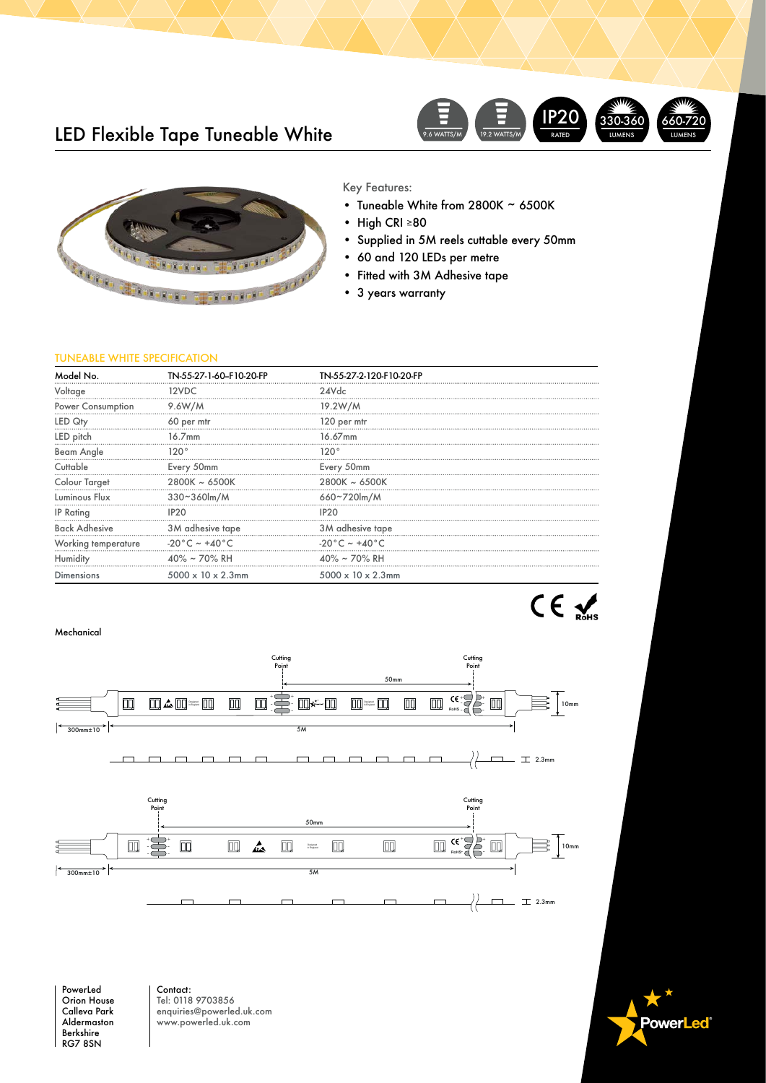# LED Flexible Tape Tuneable White





### Key Features:

- Tuneable White from 2800K  $\sim$  6500K<br>• High CRI >80
- High CRI ≥80
- Supplied in 5M reels cuttable every 50mm
- 60 and 120 LEDs per metre
- Fitted with 3M Adhesive tape
- 3 years warranty

## TUNEABLE WHITE SPECIFICATION

| Model No.                | TN-55-27-1-60-F10-20-FP        | TN-55-27-2-120-F10-20-FP         |  |
|--------------------------|--------------------------------|----------------------------------|--|
| Voltage                  | 12VDC                          | 24Vdc                            |  |
| <b>Power Consumption</b> | 9.6W/M                         | 19.2W/M                          |  |
| LED Qty                  | 60 per mtr                     | 120 per mtr                      |  |
| LED pitch                | $16.7$ mm                      | 16.67mm                          |  |
| Beam Angle               | 120°                           | 120°                             |  |
| Cuttable                 | Every 50mm                     | Every 50mm                       |  |
| Colour Target            | $2800K \sim 6500K$             | $2800K \sim 6500K$               |  |
| Luminous Flux            | $330 - 360$ m/M                | 660~720lm/M                      |  |
| <b>IP Rating</b>         | IP <sub>20</sub>               | IP <sub>20</sub>                 |  |
| <b>Back Adhesive</b>     | 3M adhesive tape               | 3M adhesive tape                 |  |
| Working temperature      | -20°C ~ +40°C                  | $-20\degree C$ ~ +40 $\degree C$ |  |
| Humidity                 | $40\% \sim 70\%$ RH            | $40\% \sim 70\%$ RH              |  |
| <b>Dimensions</b>        | $5000 \times 10 \times 2.3$ mm | $5000 \times 10 \times 2.3$ mm   |  |
|                          |                                |                                  |  |

#### Mechanical



PowerLed Orion House Calleva Park Aldermaston Berkshire RG7 8SN

Contact: Tel: 0118 9703856 enquiries@powerled.uk.com www.powerled.uk.com

**owerLed**